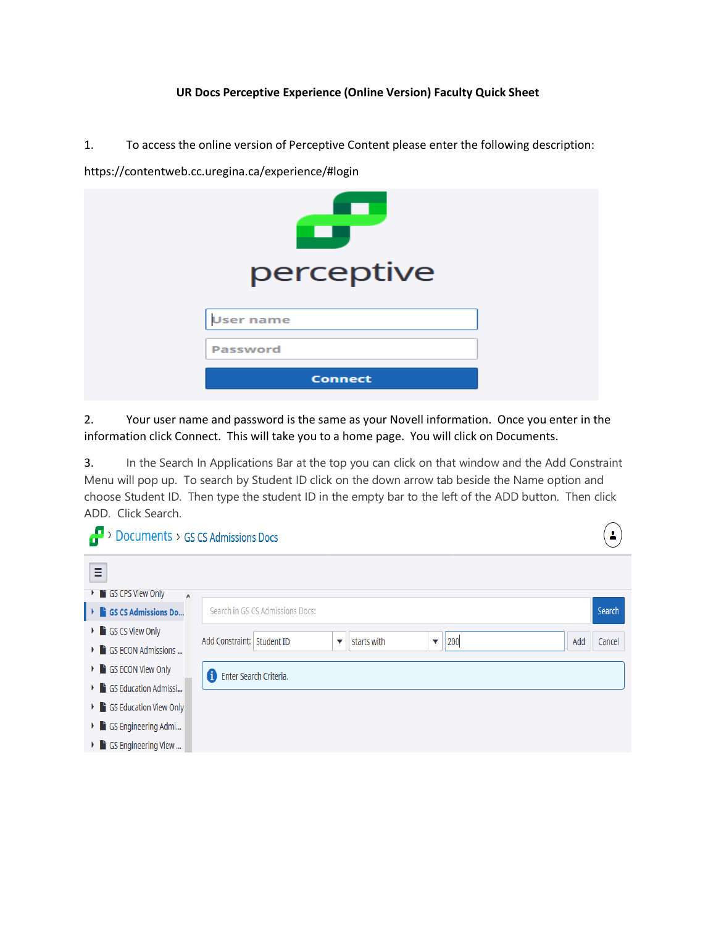## **UR Docs Perceptive Experience (Online Version) Faculty Quick Sheet**

1. To access the online version of Perceptive Content please enter the following description:

perceptive **User name Password** Connect

https://contentweb.cc.uregina.ca/experience/#login

2. Your user name and password is the same as your Novell information. Once you enter in the information click Connect. This will take you to a home page. You will click on Documents.

3. In the Search In Applications Bar at the top you can click on that window and the Add Constraint Menu will pop up. To search by Student ID click on the down arrow tab beside the Name option and choose Student ID. Then type the student ID in the empty bar to the left of the ADD button. Then click ADD. Click Search.

> $\overline{\phantom{a}}$ ╲

| $\rightarrow$ Documents > GS CS Admissions Docs |                                               |  |  |  |  |  |
|-------------------------------------------------|-----------------------------------------------|--|--|--|--|--|
| Ξ                                               |                                               |  |  |  |  |  |
| <b>GS CPS View Only</b><br>×.<br>$\land$        |                                               |  |  |  |  |  |
| GS CS Admissions Do                             | Search in GS CS Admissions Docs:<br>Search    |  |  |  |  |  |
| GS CS View Only                                 | Add Constraint: Student ID                    |  |  |  |  |  |
| GS ECON Admissions                              | Add<br>starts with<br>200<br>Cancel<br>v<br>▼ |  |  |  |  |  |
| ▶ GS ECON View Only                             | 0<br>Enter Search Criteria.                   |  |  |  |  |  |
| GS Education Admissi                            |                                               |  |  |  |  |  |
| GS Education View Only                          |                                               |  |  |  |  |  |
| GS Engineering Admi                             |                                               |  |  |  |  |  |
| GS Engineering View                             |                                               |  |  |  |  |  |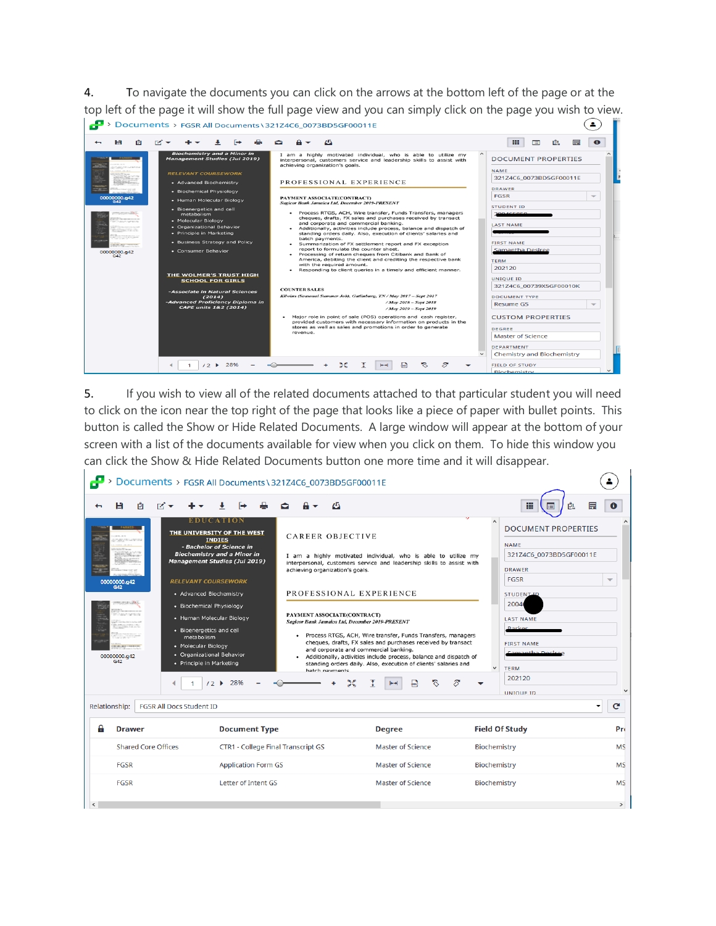4. To navigate the documents you can click on the arrows at the bottom left of the page or at the top left of the page it will show the full page view and you can simply click on the page you wish to view. > Documents > FGSR All Documents \ 321Z4C6\_0073BD5GF00011E  $\left( \bullet \right)$ 



5. If you wish to view all of the related documents attached to that particular student you will need to click on the icon near the top right of the page that looks like a piece of paper with bullet points. This button is called the Show or Hide Related Documents. A large window will appear at the bottom of your screen with a list of the documents available for view when you click on them. To hide this window you can click the Show & Hide Related Documents button one more time and it will disappear.